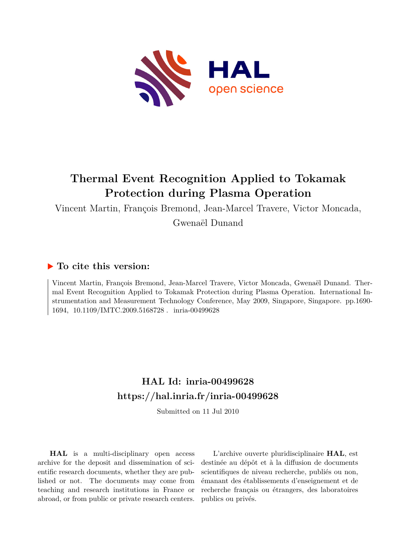

## **Thermal Event Recognition Applied to Tokamak Protection during Plasma Operation**

Vincent Martin, François Bremond, Jean-Marcel Travere, Victor Moncada, Gwenaël Dunand

### **To cite this version:**

Vincent Martin, François Bremond, Jean-Marcel Travere, Victor Moncada, Gwenaël Dunand. Thermal Event Recognition Applied to Tokamak Protection during Plasma Operation. International Instrumentation and Measurement Technology Conference, May 2009, Singapore, Singapore. pp.1690- 1694, 10.1109/IMTC.2009.5168728. inria-00499628

## **HAL Id: inria-00499628 <https://hal.inria.fr/inria-00499628>**

Submitted on 11 Jul 2010

**HAL** is a multi-disciplinary open access archive for the deposit and dissemination of scientific research documents, whether they are published or not. The documents may come from teaching and research institutions in France or abroad, or from public or private research centers.

L'archive ouverte pluridisciplinaire **HAL**, est destinée au dépôt et à la diffusion de documents scientifiques de niveau recherche, publiés ou non, émanant des établissements d'enseignement et de recherche français ou étrangers, des laboratoires publics ou privés.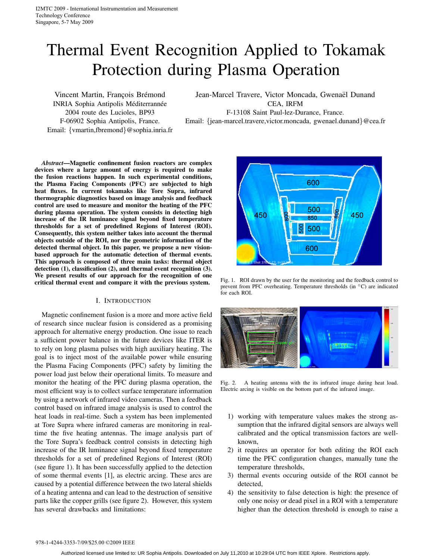# Thermal Event Recognition Applied to Tokamak Protection during Plasma Operation

Vincent Martin, François Brémond INRIA Sophia Antipolis Méditerrannée 2004 route des Lucioles, BP93 F-06902 Sophia Antipolis, France. Email: {vmartin,fbremond}@sophia.inria.fr Jean-Marcel Travere, Victor Moncada, Gwenaël Dunand CEA, IRFM

F-13108 Saint Paul-lez-Durance, France.

Email: {jean-marcel.travere,victor.moncada, gwenael.dunand}@cea.fr

*Abstract***—Magnetic confinement fusion reactors are complex devices where a large amount of energy is required to make the fusion reactions happen. In such experimental conditions, the Plasma Facing Components (PFC) are subjected to high heat fluxes. In current tokamaks like Tore Supra, infrared thermographic diagnostics based on image analysis and feedback control are used to measure and monitor the heating of the PFC during plasma operation. The system consists in detecting high increase of the IR luminance signal beyond fixed temperature thresholds for a set of predefined Regions of Interest (ROI). Consequently, this system neither takes into account the thermal objects outside of the ROI, nor the geometric information of the detected thermal object. In this paper, we propose a new visionbased approach for the automatic detection of thermal events. This approach is composed of three main tasks: thermal object detection (1), classification (2), and thermal event recognition (3). We present results of our approach for the recognition of one critical thermal event and compare it with the previous system.**

#### I. INTRODUCTION

Magnetic confinement fusion is a more and more active field of research since nuclear fusion is considered as a promising approach for alternative energy production. One issue to reach a sufficient power balance in the future devices like ITER is to rely on long plasma pulses with high auxiliary heating. The goal is to inject most of the available power while ensuring the Plasma Facing Components (PFC) safety by limiting the power load just below their operational limits. To measure and monitor the heating of the PFC during plasma operation, the most efficient way is to collect surface temperature information by using a network of infrared video cameras. Then a feedback control based on infrared image analysis is used to control the heat loads in real-time. Such a system has been implemented at Tore Supra where infrared cameras are monitoring in realtime the five heating antennas. The image analysis part of the Tore Supra's feedback control consists in detecting high increase of the IR luminance signal beyond fixed temperature thresholds for a set of predefined Regions of Interest (ROI) (see figure 1). It has been successfully applied to the detection of some thermal events [1], as electric arcing. These arcs are caused by a potential difference between the two lateral shields of a heating antenna and can lead to the destruction of sensitive parts like the copper grills (see figure 2). However, this system has several drawbacks and limitations:



Fig. 1. ROI drawn by the user for the monitoring and the feedback control to prevent from PFC overheating. Temperature thresholds (in ◦C) are indicated for each ROI.



Fig. 2. A heating antenna with the its infrared image during heat load. Electric arcing is visible on the bottom part of the infrared image.

- 1) working with temperature values makes the strong assumption that the infrared digital sensors are always well calibrated and the optical transmission factors are wellknown,
- 2) it requires an operator for both editing the ROI each time the PFC configuration changes, manually tune the temperature thresholds,
- 3) thermal events occuring outside of the ROI cannot be detected,
- 4) the sensitivity to false detection is high: the presence of only one noisy or dead pixel in a ROI with a temperature higher than the detection threshold is enough to raise a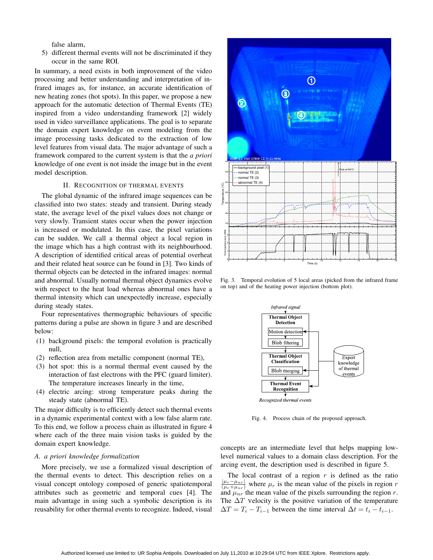false alarm,

5) different thermal events will not be discriminated if they occur in the same ROI.

In summary, a need exists in both improvement of the video processing and better understanding and interpretation of infrared images as, for instance, an accurate identification of new heating zones (hot spots). In this paper, we propose a new approach for the automatic detection of Thermal Events (TE) inspired from a video understanding framework [2] widely used in video surveillance applications. The goal is to separate the domain expert knowledge on event modeling from the image processing tasks dedicated to the extraction of low level features from visual data. The major advantage of such a framework compared to the current system is that the *a priori* knowledge of one event is not inside the image but in the event model description.

#### II. RECOGNITION OF THERMAL EVENTS

The global dynamic of the infrared image sequences can be classified into two states: steady and transient. During steady state, the average level of the pixel values does not change or very slowly. Transient states occur when the power injection is increased or modulated. In this case, the pixel variations can be sudden. We call a thermal object a local region in the image which has a high contrast with its neighbourhood. A description of identified critical areas of potential overheat and their related heat source can be found in [3]. Two kinds of thermal objects can be detected in the infrared images: normal and abnormal. Usually normal thermal object dynamics evolve with respect to the heat load whereas abnormal ones have a thermal intensity which can unexpectedly increase, especially during steady states.

Four representatives thermographic behaviours of specific patterns during a pulse are shown in figure 3 and are described below:

- (1) background pixels: the temporal evolution is practically null,
- (2) reflection area from metallic component (normal TE),
- (3) hot spot: this is a normal thermal event caused by the interaction of fast electrons with the PFC (guard limiter). The temperature increases linearly in the time,
- (4) electric arcing: strong temperature peaks during the steady state (abnormal TE).

The major difficulty is to efficiently detect such thermal events in a dynamic experimental context with a low false alarm rate. To this end, we follow a process chain as illustrated in figure 4 where each of the three main vision tasks is guided by the domain expert knowledge.

#### *A. a priori knowledge formalization*

More precisely, we use a formalized visual description of the thermal events to detect. This description relies on a visual concept ontology composed of generic spatiotemporal attributes such as geometric and temporal cues [4]. The main advantage in using such a symbolic description is its reusability for other thermal events to recognize. Indeed, visual



Fig. 3. Temporal evolution of 5 local areas (picked from the infrared frame on top) and of the heating power injection (bottom plot).



Fig. 4. Process chain of the proposed approach.

concepts are an intermediate level that helps mapping lowlevel numerical values to a domain class description. For the arcing event, the description used is described in figure 5.

The local contrast of a region  $r$  is defined as the ratio  $\frac{|\mu_r - \mu_{nr}|}{(\mu_r + \mu_{nr})}$  where  $\mu_r$  is the mean value of the pixels in region *r* and  $\mu_{nr}$  the mean value of the pixels surrounding the region *r*. The  $\Delta T$  velocity is the positive variation of the temperature  $\Delta T = T_i - T_{i-1}$  between the time interval  $\Delta t = t_i - t_{i-1}$ .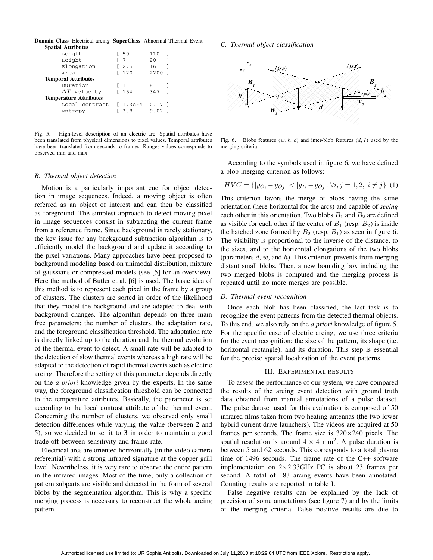**Domain Class** Electrical arcing **SuperClass** Abnormal Thermal Event **Spatial Attributes**

| ----------------------        |          |          |  |  |  |  |
|-------------------------------|----------|----------|--|--|--|--|
| Length                        | I 50     | 110      |  |  |  |  |
| Height                        | 7        | 20       |  |  |  |  |
| Elongation                    | [ 2.5    | 16       |  |  |  |  |
| Area                          | 120      | 2200     |  |  |  |  |
| <b>Temporal Attributes</b>    |          |          |  |  |  |  |
| Duration                      | [1       | 8        |  |  |  |  |
| $\Delta T$ velocity           | 154      | 347      |  |  |  |  |
| <b>Temperature Attributes</b> |          |          |  |  |  |  |
| Local contrast                | $1.3e-4$ | $0.17$ ] |  |  |  |  |
| Entropy                       | 3.8      | 9.02     |  |  |  |  |

Fig. 5. High-level description of an electric arc. Spatial attributes have been translated from physical dimensions to pixel values. Temporal attributes have been translated from seconds to frames. Ranges values corresponds to observed min and max.

#### *B. Thermal object detection*

Motion is a particularly important cue for object detection in image sequences. Indeed, a moving object is often referred as an object of interest and can then be classified as foreground. The simplest approach to detect moving pixel in image sequences consist in subtracting the current frame from a reference frame. Since background is rarely stationary, the key issue for any background subtraction algorithm is to efficiently model the background and update it according to the pixel variations. Many approaches have been proposed to background modeling based on unimodal distribution, mixture of gaussians or compressed models (see [5] for an overview). Here the method of Butler et al. [6] is used. The basic idea of this method is to represent each pixel in the frame by a group of clusters. The clusters are sorted in order of the likelihood that they model the background and are adapted to deal with background changes. The algorithm depends on three main free parameters: the number of clusters, the adaptation rate, and the foreground classification threshold. The adaptation rate is directly linked up to the duration and the thermal evolution of the thermal event to detect. A small rate will be adapted to the detection of slow thermal events whereas a high rate will be adapted to the detection of rapid thermal events such as electric arcing. Therefore the setting of this parameter depends directly on the *a priori* knowledge given by the experts. In the same way, the foreground classification threshold can be connected to the temperature attributes. Basically, the parameter is set according to the local contrast attribute of the thermal event. Concerning the number of clusters, we observed only small detection differences while varying the value (between 2 and 5), so we decided to set it to 3 in order to maintain a good trade-off between sensitivity and frame rate.

Electrical arcs are oriented horizontally (in the video camera referential) with a strong infrared signature at the copper grill level. Nevertheless, it is very rare to observe the entire pattern in the infrared images. Most of the time, only a collection of pattern subparts are visible and detected in the form of several blobs by the segmentation algorithm. This is why a specific merging process is necessary to reconstruct the whole arcing pattern.

*C. Thermal object classification*



Fig. 6. Blobs features  $(w, h, o)$  and inter-blob features  $(d, I)$  used by the merging criteria.

According to the symbols used in figure 6, we have defined a blob merging criterion as follows:

$$
HVC = \{ |y_{O_i} - y_{O_j}| < |y_{I_i} - y_{O_j}|, \forall i, j = 1, 2, i \neq j \} \tag{1}
$$

This criterion favors the merge of blobs having the same orientation (here horizontal for the arcs) and capable of *seeing* each other in this orientation. Two blobs  $B_1$  and  $B_2$  are defined as visible for each other if the center of  $B_1$  (resp.  $B_2$ ) is inside the hatched zone formed by  $B_2$  (resp.  $B_1$ ) as seen in figure 6. The visibility is proportional to the inverse of the distance, to the sizes, and to the horizontal elongations of the two blobs (parameters *d*, *w*, and *h*). This criterion prevents from merging distant small blobs. Then, a new bounding box including the two merged blobs is computed and the merging process is repeated until no more merges are possible.

#### *D. Thermal event recognition*

Once each blob has been classified, the last task is to recognize the event patterns from the detected thermal objects. To this end, we also rely on the *a priori* knowledge of figure 5. For the specific case of electric arcing, we use three criteria for the event recognition: the size of the pattern, its shape (i.e. horizontal rectangle), and its duration. This step is essential for the precise spatial localization of the event patterns.

#### III. EXPERIMENTAL RESULTS

To assess the performance of our system, we have compared the results of the arcing event detection with ground truth data obtained from manual annotations of a pulse dataset. The pulse dataset used for this evaluation is composed of 50 infrared films taken from two heating antennas (the two lower hybrid current drive launchers). The videos are acquired at 50 frames per seconds. The frame size is  $320 \times 240$  pixels. The spatial resolution is around  $4 \times 4$  mm<sup>2</sup>. A pulse duration is between 5 and 62 seconds. This corresponds to a total plasma time of 1496 seconds. The frame rate of the C++ software implementation on  $2\times2.33$ GHz PC is about 23 frames per second. A total of 183 arcing events have been annotated. Counting results are reported in table I.

False negative results can be explained by the lack of precision of some annotations (see figure 7) and by the limits of the merging criteria. False positive results are due to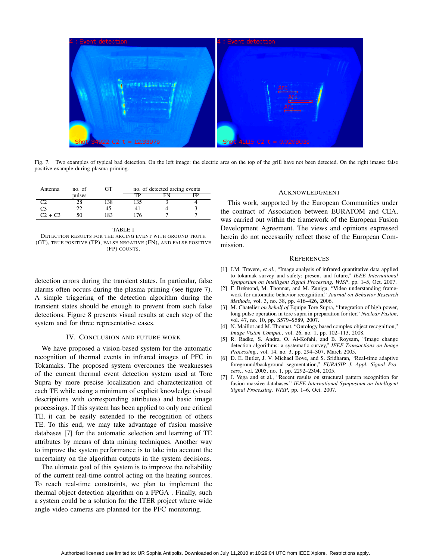

Fig. 7. Two examples of typical bad detection. On the left image: the electric arcs on the top of the grill have not been detected. On the right image: false positive example during plasma priming.

| Antenna   | no. of | ∼   | no. of detected arcing events |  |    |
|-----------|--------|-----|-------------------------------|--|----|
|           | pulses |     | тp                            |  | FP |
|           |        | .38 | 135                           |  |    |
| C3        |        | 45  |                               |  |    |
| $C2 + C3$ | 50     | 183 | 76                            |  |    |

TABLE I DETECTION RESULTS FOR THE ARCING EVENT WITH GROUND TRUTH (GT), TRUE POSITIVE (TP), FALSE NEGATIVE (FN), AND FALSE POSITIVE (FP) COUNTS.

detection errors during the transient states. In particular, false alarms often occurs during the plasma priming (see figure 7). A simple triggering of the detection algorithm during the transient states should be enough to prevent from such false detections. Figure 8 presents visual results at each step of the system and for three representative cases.

#### IV. CONCLUSION AND FUTURE WORK

We have proposed a vision-based system for the automatic recognition of thermal events in infrared images of PFC in Tokamaks. The proposed system overcomes the weaknesses of the current thermal event detection system used at Tore Supra by more precise localization and characterization of each TE while using a minimum of explicit knowledge (visual descriptions with corresponding attributes) and basic image processings. If this system has been applied to only one critical TE, it can be easily extended to the recognition of others TE. To this end, we may take advantage of fusion massive databases [7] for the automatic selection and learning of TE attributes by means of data mining techniques. Another way to improve the system performance is to take into account the uncertainty on the algorithm outputs in the system decisions.

The ultimate goal of this system is to improve the reliability of the current real-time control acting on the heating sources. To reach real-time constraints, we plan to implement the thermal object detection algorithm on a FPGA . Finally, such a system could be a solution for the ITER project where wide angle video cameras are planned for the PFC monitoring.

#### ACKNOWLEDGMENT

This work, supported by the European Communities under the contract of Association between EURATOM and CEA, was carried out within the framework of the European Fusion Development Agreement. The views and opinions expressed herein do not necessarily reflect those of the European Commission.

#### **REFERENCES**

- [1] J.M. Travere, et al., "Image analysis of infrared quantitative data applied to tokamak survey and safety: present and future," *IEEE International Symposium on Intelligent Signal Processing, WISP*, pp. 1–5, Oct. 2007.
- [2] F. Brémond, M. Thonnat, and M. Zuniga, "Video understanding framework for automatic behavior recognition," *Journal on Behavior Research Methods*, vol. 3, no. 38, pp. 416–426, 2006.
- [3] M. Chatelier *on behalf of* Equipe Tore Supra, "Integration of high power, long pulse operation in tore supra in preparation for iter," *Nuclear Fusion*, vol. 47, no. 10, pp. S579–S589, 2007.
- [4] N. Maillot and M. Thonnat, "Ontology based complex object recognition," *Image Vision Comput.*, vol. 26, no. 1, pp. 102–113, 2008.
- [5] R. Radke, S. Andra, O. Al-Kofahi, and B. Roysam, "Image change detection algorithms: a systematic survey," *IEEE Transactions on Image Processing,*, vol. 14, no. 3, pp. 294–307, March 2005.
- [6] D. E. Butler, J. V. Michael Bove, and S. Sridharan, "Real-time adaptive foreground/background segmentation," *EURASIP J. Appl. Signal Process.*, vol. 2005, no. 1, pp. 2292–2304, 2005.
- [7] J. Vega and et al., "Recent results on structural pattern recognition for fusion massive databases," *IEEE International Symposium on Intelligent Signal Processing, WISP*, pp. 1–6, Oct. 2007.